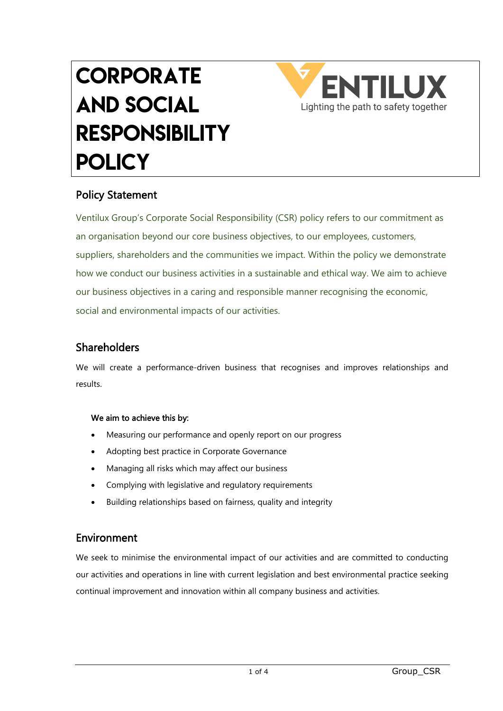# **CORPORATE** and Social **RESPONSIBILITY POLICY**



# Policy Statement

Ventilux Group's Corporate Social Responsibility (CSR) policy refers to our commitment as an organisation beyond our core business objectives, to our employees, customers, suppliers, shareholders and the communities we impact. Within the policy we demonstrate how we conduct our business activities in a sustainable and ethical way. We aim to achieve our business objectives in a caring and responsible manner recognising the economic, social and environmental impacts of our activities.

# Shareholders

We will create a performance-driven business that recognises and improves relationships and results.

## We aim to achieve this by:

- Measuring our performance and openly report on our progress
- Adopting best practice in Corporate Governance
- Managing all risks which may affect our business
- Complying with legislative and regulatory requirements
- Building relationships based on fairness, quality and integrity

## Environment

We seek to minimise the environmental impact of our activities and are committed to conducting our activities and operations in line with current legislation and best environmental practice seeking continual improvement and innovation within all company business and activities.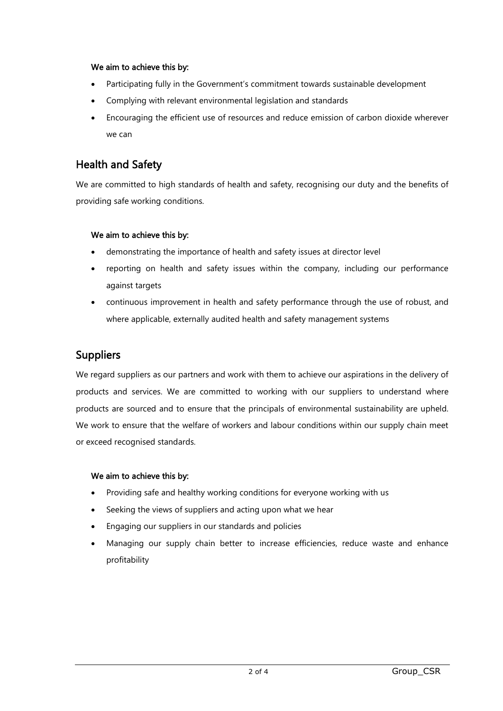#### We aim to achieve this by:

- Participating fully in the Government's commitment towards sustainable development
- Complying with relevant environmental legislation and standards
- Encouraging the efficient use of resources and reduce emission of carbon dioxide wherever we can

## Health and Safety

We are committed to high standards of health and safety, recognising our duty and the benefits of providing safe working conditions.

#### We aim to achieve this by:

- demonstrating the importance of health and safety issues at director level
- reporting on health and safety issues within the company, including our performance against targets
- continuous improvement in health and safety performance through the use of robust, and where applicable, externally audited health and safety management systems

# Suppliers

We regard suppliers as our partners and work with them to achieve our aspirations in the delivery of products and services. We are committed to working with our suppliers to understand where products are sourced and to ensure that the principals of environmental sustainability are upheld. We work to ensure that the welfare of workers and labour conditions within our supply chain meet or exceed recognised standards.

## We aim to achieve this by:

- Providing safe and healthy working conditions for everyone working with us
- Seeking the views of suppliers and acting upon what we hear
- Engaging our suppliers in our standards and policies
- Managing our supply chain better to increase efficiencies, reduce waste and enhance profitability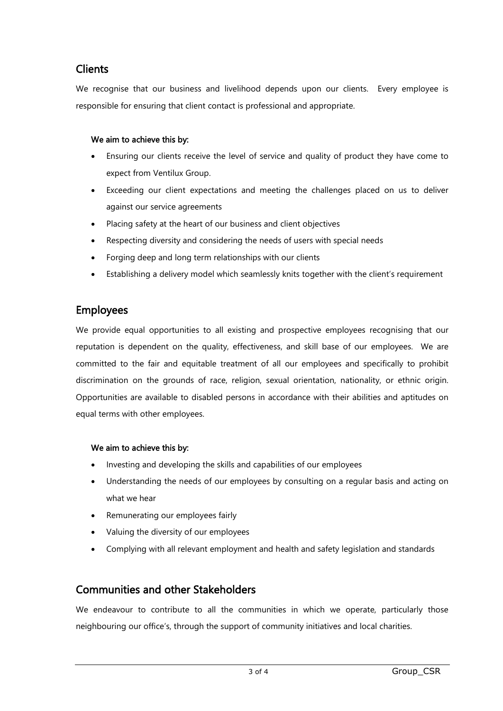## **Clients**

We recognise that our business and livelihood depends upon our clients. Every employee is responsible for ensuring that client contact is professional and appropriate.

## We aim to achieve this by:

- Ensuring our clients receive the level of service and quality of product they have come to expect from Ventilux Group.
- Exceeding our client expectations and meeting the challenges placed on us to deliver against our service agreements
- Placing safety at the heart of our business and client objectives
- Respecting diversity and considering the needs of users with special needs
- Forging deep and long term relationships with our clients
- Establishing a delivery model which seamlessly knits together with the client's requirement

## Employees

We provide equal opportunities to all existing and prospective employees recognising that our reputation is dependent on the quality, effectiveness, and skill base of our employees. We are committed to the fair and equitable treatment of all our employees and specifically to prohibit discrimination on the grounds of race, religion, sexual orientation, nationality, or ethnic origin. Opportunities are available to disabled persons in accordance with their abilities and aptitudes on equal terms with other employees.

## We aim to achieve this by:

- Investing and developing the skills and capabilities of our employees
- Understanding the needs of our employees by consulting on a regular basis and acting on what we hear
- Remunerating our employees fairly
- Valuing the diversity of our employees
- Complying with all relevant employment and health and safety legislation and standards

# Communities and other Stakeholders

We endeavour to contribute to all the communities in which we operate, particularly those neighbouring our office's, through the support of community initiatives and local charities.